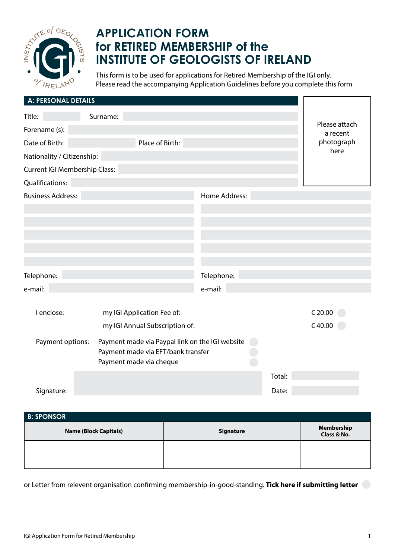

## **APPLICATION FORM for RETIRED MEMBERSHIP of the INSTITUTE OF GEOLOGISTS OF IRELAND**

This form is to be used for applications for Retired Membership of the IGI only. Please read the accompanying Application Guidelines before you complete this form

| A: PERSONAL DETAILS                                                                                                                  |                            |               |        |                           |
|--------------------------------------------------------------------------------------------------------------------------------------|----------------------------|---------------|--------|---------------------------|
| Title:                                                                                                                               | Surname:                   |               |        |                           |
| Forename (s):                                                                                                                        |                            |               |        | Please attach<br>a recent |
| Date of Birth:                                                                                                                       |                            | photograph    |        |                           |
| Nationality / Citizenship:                                                                                                           | here                       |               |        |                           |
| <b>Current IGI Membership Class:</b>                                                                                                 |                            |               |        |                           |
| Qualifications:                                                                                                                      |                            |               |        |                           |
| <b>Business Address:</b>                                                                                                             |                            | Home Address: |        |                           |
|                                                                                                                                      |                            |               |        |                           |
|                                                                                                                                      |                            |               |        |                           |
|                                                                                                                                      |                            |               |        |                           |
|                                                                                                                                      |                            |               |        |                           |
|                                                                                                                                      |                            |               |        |                           |
| Telephone:                                                                                                                           |                            | Telephone:    |        |                           |
| e-mail:                                                                                                                              |                            | e-mail:       |        |                           |
| I enclose:                                                                                                                           | my IGI Application Fee of: |               |        | € 20.00                   |
| my IGI Annual Subscription of:                                                                                                       |                            |               |        | €40.00                    |
| Payment made via Paypal link on the IGI website<br>Payment options:<br>Payment made via EFT/bank transfer<br>Payment made via cheque |                            |               |        |                           |
|                                                                                                                                      |                            |               | Total: |                           |
| Signature:                                                                                                                           |                            |               | Date:  |                           |
|                                                                                                                                      |                            |               |        |                           |
| <b>B: SPONSOR</b>                                                                                                                    |                            |               |        |                           |

| <b>Name (Block Capitals)</b> | Signature | Membership<br>Class & No. |
|------------------------------|-----------|---------------------------|
|                              |           |                           |

or Letter from relevent organisation confirming membership-in-good-standing. **Tick here if submitting letter**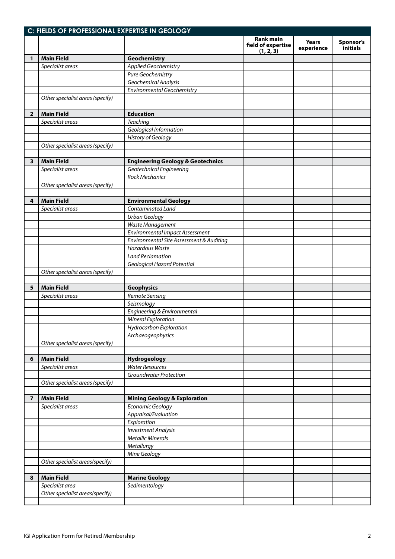|                         | C: FIELDS OF PROFESSIONAL EXPERTISE IN GEOLOGY |                                              |                                                     |                            |                       |  |  |
|-------------------------|------------------------------------------------|----------------------------------------------|-----------------------------------------------------|----------------------------|-----------------------|--|--|
|                         |                                                |                                              | <b>Rank main</b><br>field of expertise<br>(1, 2, 3) | <b>Years</b><br>experience | Sponsor's<br>initials |  |  |
| 1                       | <b>Main Field</b>                              | Geochemistry                                 |                                                     |                            |                       |  |  |
|                         | Specialist areas                               | <b>Applied Geochemistry</b>                  |                                                     |                            |                       |  |  |
|                         |                                                | Pure Geochemistry                            |                                                     |                            |                       |  |  |
|                         |                                                | Geochemical Analysis                         |                                                     |                            |                       |  |  |
|                         |                                                | <b>Environmental Geochemistry</b>            |                                                     |                            |                       |  |  |
|                         | Other specialist areas (specify)               |                                              |                                                     |                            |                       |  |  |
|                         |                                                |                                              |                                                     |                            |                       |  |  |
| $\overline{2}$          | <b>Main Field</b>                              | <b>Education</b>                             |                                                     |                            |                       |  |  |
|                         | Specialist areas                               | <b>Teaching</b>                              |                                                     |                            |                       |  |  |
|                         |                                                | Geological Information                       |                                                     |                            |                       |  |  |
|                         |                                                | <b>History of Geology</b>                    |                                                     |                            |                       |  |  |
|                         | Other specialist areas (specify)               |                                              |                                                     |                            |                       |  |  |
|                         |                                                |                                              |                                                     |                            |                       |  |  |
| 3                       | <b>Main Field</b>                              | <b>Engineering Geology &amp; Geotechnics</b> |                                                     |                            |                       |  |  |
|                         | Specialist areas                               | Geotechnical Engineering                     |                                                     |                            |                       |  |  |
|                         |                                                | <b>Rock Mechanics</b>                        |                                                     |                            |                       |  |  |
|                         | Other specialist areas (specify)               |                                              |                                                     |                            |                       |  |  |
|                         |                                                |                                              |                                                     |                            |                       |  |  |
| 4                       | <b>Main Field</b>                              | <b>Environmental Geology</b>                 |                                                     |                            |                       |  |  |
|                         | Specialist areas                               | Contaminated Land                            |                                                     |                            |                       |  |  |
|                         |                                                | <b>Urban Geology</b>                         |                                                     |                            |                       |  |  |
|                         |                                                | Waste Management                             |                                                     |                            |                       |  |  |
|                         |                                                | <b>Environmental Impact Assessment</b>       |                                                     |                            |                       |  |  |
|                         |                                                | Environmental Site Assessment & Auditing     |                                                     |                            |                       |  |  |
|                         |                                                | <b>Hazardous Waste</b>                       |                                                     |                            |                       |  |  |
|                         |                                                | <b>Land Reclamation</b>                      |                                                     |                            |                       |  |  |
|                         |                                                | Geological Hazard Potential                  |                                                     |                            |                       |  |  |
|                         | Other specialist areas (specify)               |                                              |                                                     |                            |                       |  |  |
|                         |                                                |                                              |                                                     |                            |                       |  |  |
| 5                       | <b>Main Field</b>                              | <b>Geophysics</b>                            |                                                     |                            |                       |  |  |
|                         | Specialist areas                               | <b>Remote Sensing</b>                        |                                                     |                            |                       |  |  |
|                         |                                                | Seismology                                   |                                                     |                            |                       |  |  |
|                         |                                                | Engineering & Environmental                  |                                                     |                            |                       |  |  |
|                         |                                                | Mineral Exploration                          |                                                     |                            |                       |  |  |
|                         |                                                | Hydrocarbon Exploration                      |                                                     |                            |                       |  |  |
|                         |                                                | Archaeogeophysics                            |                                                     |                            |                       |  |  |
|                         | Other specialist areas (specify)               |                                              |                                                     |                            |                       |  |  |
|                         |                                                |                                              |                                                     |                            |                       |  |  |
| 6                       | <b>Main Field</b>                              | Hydrogeology                                 |                                                     |                            |                       |  |  |
|                         | Specialist areas                               | <b>Water Resources</b>                       |                                                     |                            |                       |  |  |
|                         |                                                | <b>Groundwater Protection</b>                |                                                     |                            |                       |  |  |
|                         | Other specialist areas (specify)               |                                              |                                                     |                            |                       |  |  |
|                         |                                                |                                              |                                                     |                            |                       |  |  |
| $\overline{\mathbf{z}}$ | <b>Main Field</b>                              | <b>Mining Geology &amp; Exploration</b>      |                                                     |                            |                       |  |  |
|                         | Specialist areas                               | Economic Geology                             |                                                     |                            |                       |  |  |
|                         |                                                | Appraisal/Evaluation                         |                                                     |                            |                       |  |  |
|                         |                                                | Exploration                                  |                                                     |                            |                       |  |  |
|                         |                                                | <b>Investment Analysis</b>                   |                                                     |                            |                       |  |  |
|                         |                                                | <b>Metallic Minerals</b>                     |                                                     |                            |                       |  |  |
|                         |                                                | Metallurgy                                   |                                                     |                            |                       |  |  |
|                         |                                                | Mine Geology                                 |                                                     |                            |                       |  |  |
|                         | Other specialist areas(specify)                |                                              |                                                     |                            |                       |  |  |
|                         |                                                |                                              |                                                     |                            |                       |  |  |
| 8                       | <b>Main Field</b>                              | <b>Marine Geology</b>                        |                                                     |                            |                       |  |  |
|                         | Specialist area                                | Sedimentology                                |                                                     |                            |                       |  |  |
|                         | Other specialist areas(specify)                |                                              |                                                     |                            |                       |  |  |
|                         |                                                |                                              |                                                     |                            |                       |  |  |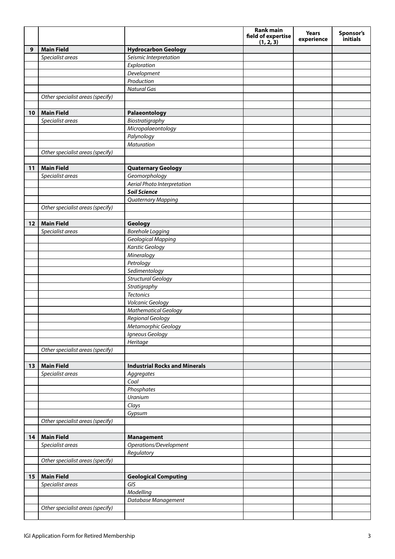|    |                                  |                                      | <b>Rank main</b><br>field of expertise<br>(1, 2, 3) | <b>Years</b><br>experience | Sponsor's<br>initials |
|----|----------------------------------|--------------------------------------|-----------------------------------------------------|----------------------------|-----------------------|
| 9  | <b>Main Field</b>                | <b>Hydrocarbon Geology</b>           |                                                     |                            |                       |
|    | Specialist areas                 | Seismic Interpretation               |                                                     |                            |                       |
|    |                                  | Exploration                          |                                                     |                            |                       |
|    |                                  | Development                          |                                                     |                            |                       |
|    |                                  | Production                           |                                                     |                            |                       |
|    |                                  | <b>Natural Gas</b>                   |                                                     |                            |                       |
|    | Other specialist areas (specify) |                                      |                                                     |                            |                       |
|    |                                  |                                      |                                                     |                            |                       |
| 10 | <b>Main Field</b>                | Palaeontology                        |                                                     |                            |                       |
|    | Specialist areas                 | Biostratigraphy                      |                                                     |                            |                       |
|    |                                  | Micropalaeontology                   |                                                     |                            |                       |
|    |                                  | Palynology                           |                                                     |                            |                       |
|    |                                  | <b>Maturation</b>                    |                                                     |                            |                       |
|    | Other specialist areas (specify) |                                      |                                                     |                            |                       |
|    |                                  |                                      |                                                     |                            |                       |
| 11 | <b>Main Field</b>                | <b>Quaternary Geology</b>            |                                                     |                            |                       |
|    | Specialist areas                 | Geomorphology                        |                                                     |                            |                       |
|    |                                  | Aerial Photo Interpretation          |                                                     |                            |                       |
|    |                                  | <b>Soil Science</b>                  |                                                     |                            |                       |
|    |                                  | <b>Quaternary Mapping</b>            |                                                     |                            |                       |
|    | Other specialist areas (specify) |                                      |                                                     |                            |                       |
|    | <b>Main Field</b>                |                                      |                                                     |                            |                       |
| 12 | Specialist areas                 | Geology<br><b>Borehole Logging</b>   |                                                     |                            |                       |
|    |                                  | Geological Mapping                   |                                                     |                            |                       |
|    |                                  | <b>Karstic Geology</b>               |                                                     |                            |                       |
|    |                                  | Mineralogy                           |                                                     |                            |                       |
|    |                                  | Petrology                            |                                                     |                            |                       |
|    |                                  | Sedimentology                        |                                                     |                            |                       |
|    |                                  | <b>Structural Geology</b>            |                                                     |                            |                       |
|    |                                  | Stratigraphy                         |                                                     |                            |                       |
|    |                                  | <b>Tectonics</b>                     |                                                     |                            |                       |
|    |                                  | Volcanic Geology                     |                                                     |                            |                       |
|    |                                  | <b>Mathematical Geology</b>          |                                                     |                            |                       |
|    |                                  | Regional Geology                     |                                                     |                            |                       |
|    |                                  | Metamorphic Geology                  |                                                     |                            |                       |
|    |                                  | Igneous Geology                      |                                                     |                            |                       |
|    |                                  | Heritage                             |                                                     |                            |                       |
|    | Other specialist areas (specify) |                                      |                                                     |                            |                       |
|    |                                  |                                      |                                                     |                            |                       |
| 13 | <b>Main Field</b>                | <b>Industrial Rocks and Minerals</b> |                                                     |                            |                       |
|    | Specialist areas                 | Aggregates                           |                                                     |                            |                       |
|    |                                  | Coal                                 |                                                     |                            |                       |
|    |                                  | Phosphates                           |                                                     |                            |                       |
|    |                                  | Uranium                              |                                                     |                            |                       |
|    |                                  | Clays                                |                                                     |                            |                       |
|    |                                  | Gypsum                               |                                                     |                            |                       |
|    | Other specialist areas (specify) |                                      |                                                     |                            |                       |
|    |                                  |                                      |                                                     |                            |                       |
| 14 | <b>Main Field</b>                | <b>Management</b>                    |                                                     |                            |                       |
|    | Specialist areas                 | Operations/Development<br>Regulatory |                                                     |                            |                       |
|    | Other specialist areas (specify) |                                      |                                                     |                            |                       |
|    |                                  |                                      |                                                     |                            |                       |
| 15 | <b>Main Field</b>                | <b>Geological Computing</b>          |                                                     |                            |                       |
|    | Specialist areas                 | GIS                                  |                                                     |                            |                       |
|    |                                  | Modelling                            |                                                     |                            |                       |
|    |                                  | Database Management                  |                                                     |                            |                       |
|    | Other specialist areas (specify) |                                      |                                                     |                            |                       |
|    |                                  |                                      |                                                     |                            |                       |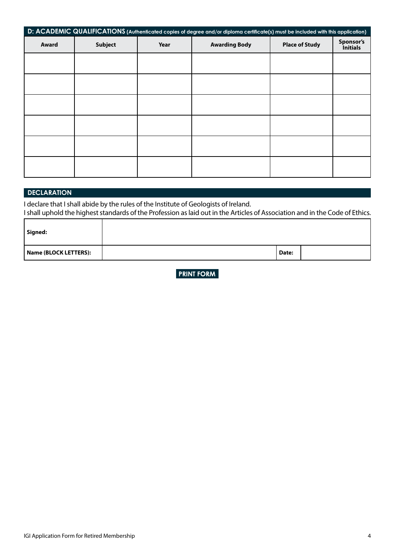| D: ACADEMIC QUALIFICATIONS (Authenticated copies of degree and/or diploma certificate(s) must be included with this application) |                |      |                      |                       |                              |
|----------------------------------------------------------------------------------------------------------------------------------|----------------|------|----------------------|-----------------------|------------------------------|
| Award                                                                                                                            | <b>Subject</b> | Year | <b>Awarding Body</b> | <b>Place of Study</b> | Sponsor's<br><i>initials</i> |
|                                                                                                                                  |                |      |                      |                       |                              |
|                                                                                                                                  |                |      |                      |                       |                              |
|                                                                                                                                  |                |      |                      |                       |                              |
|                                                                                                                                  |                |      |                      |                       |                              |
|                                                                                                                                  |                |      |                      |                       |                              |
|                                                                                                                                  |                |      |                      |                       |                              |

## **DECLARATION**

I declare that I shall abide by the rules of the Institute of Geologists of Ireland.

I shall uphold the highest standards of the Profession as laid out in the Articles of Association and in the Code of Ethics.

| Signed:               |       |  |
|-----------------------|-------|--|
| Name (BLOCK LETTERS): | Date: |  |

**PRINT FORM**